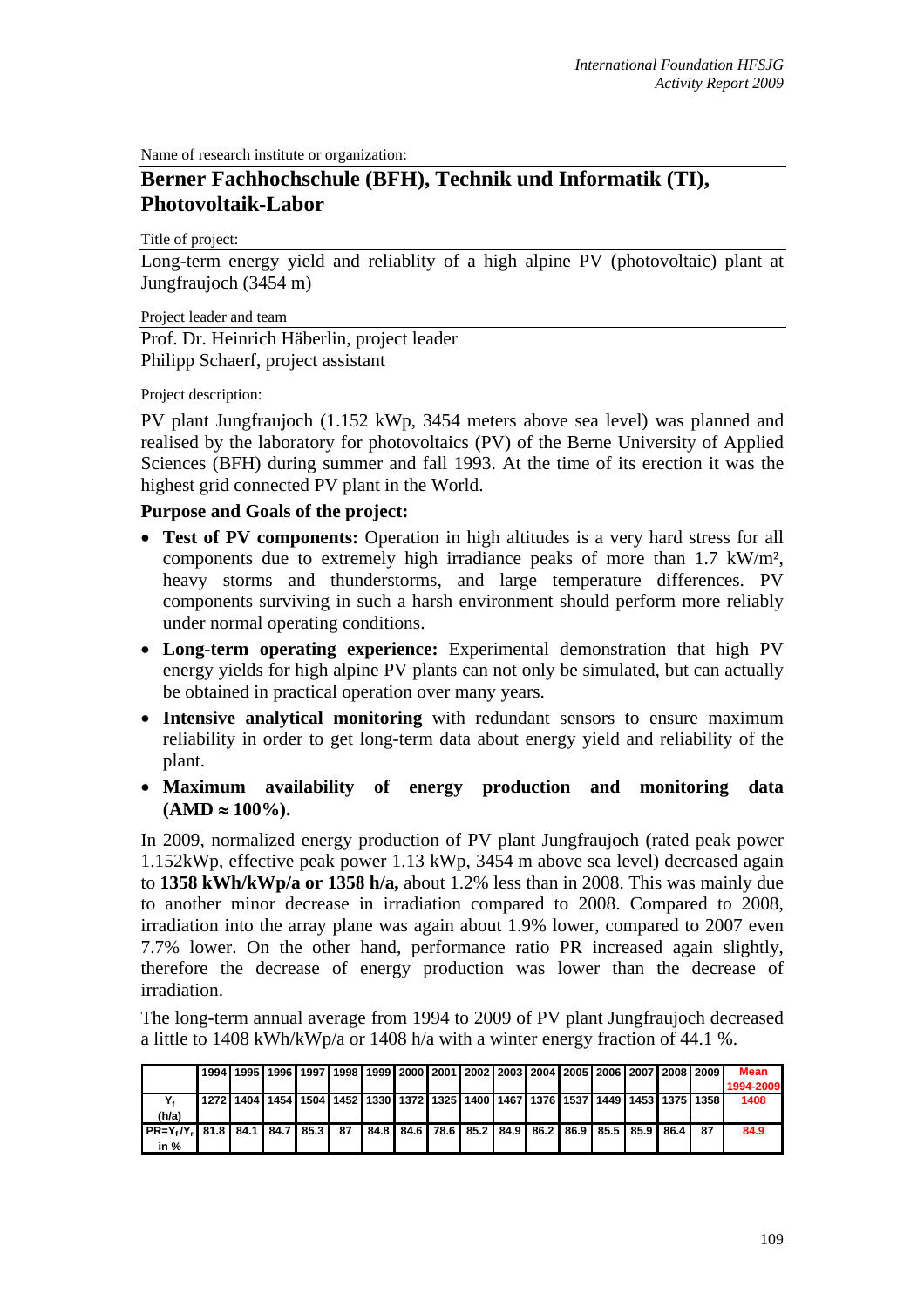Name of research institute or organization:

## **Berner Fachhochschule (BFH), Technik und Informatik (TI), Photovoltaik-Labor**

Title of project:

Long-term energy yield and reliablity of a high alpine PV (photovoltaic) plant at Jungfraujoch (3454 m)

Project leader and team

Prof. Dr. Heinrich Häberlin, project leader Philipp Schaerf, project assistant

## Project description:

PV plant Jungfraujoch (1.152 kWp, 3454 meters above sea level) was planned and realised by the laboratory for photovoltaics (PV) of the Berne University of Applied Sciences (BFH) during summer and fall 1993. At the time of its erection it was the highest grid connected PV plant in the World.

## **Purpose and Goals of the project:**

- **Test of PV components:** Operation in high altitudes is a very hard stress for all components due to extremely high irradiance peaks of more than 1.7 kW/m², heavy storms and thunderstorms, and large temperature differences. PV components surviving in such a harsh environment should perform more reliably under normal operating conditions.
- **Long-term operating experience:** Experimental demonstration that high PV energy yields for high alpine PV plants can not only be simulated, but can actually be obtained in practical operation over many years.
- **Intensive analytical monitoring** with redundant sensors to ensure maximum reliability in order to get long-term data about energy yield and reliability of the plant.
- **Maximum availability of energy production and monitoring data**   $(AMD ≈ 100\%).$

In 2009, normalized energy production of PV plant Jungfraujoch (rated peak power 1.152kWp, effective peak power 1.13 kWp, 3454 m above sea level) decreased again to **1358 kWh/kWp/a or 1358 h/a,** about 1.2% less than in 2008. This was mainly due to another minor decrease in irradiation compared to 2008. Compared to 2008, irradiation into the array plane was again about 1.9% lower, compared to 2007 even 7.7% lower. On the other hand, performance ratio PR increased again slightly, therefore the decrease of energy production was lower than the decrease of irradiation.

The long-term annual average from 1994 to 2009 of PV plant Jungfraujoch decreased a little to 1408 kWh/kWp/a or 1408 h/a with a winter energy fraction of 44.1 %.

|                                                                                                                        |  |  |  | 1994   1995   1996   1997   1998   1999   2000   2001   2002   2003   2004   2005   2006   2007   2008   2009 |  |  |  |    | Mean      |
|------------------------------------------------------------------------------------------------------------------------|--|--|--|---------------------------------------------------------------------------------------------------------------|--|--|--|----|-----------|
|                                                                                                                        |  |  |  |                                                                                                               |  |  |  |    | 1994-2009 |
|                                                                                                                        |  |  |  | 1272   1404   1454   1504   1452   1330   1372   1325   1400   1467   1376   1537   1449   1453   1375   1358 |  |  |  |    | 1408      |
| (h/a)                                                                                                                  |  |  |  |                                                                                                               |  |  |  |    |           |
| IPR=Y،/Y، I 81.8 I 84.1 I 84.7 I 85.3 I   87   I 84.8 I 84.6 I 78.6 I 85.2 I 84.9 I 86.2 I 86.9 I 85.5 I 85.9 I 86.4 I |  |  |  |                                                                                                               |  |  |  | 87 | 84.9      |
| in $%$                                                                                                                 |  |  |  |                                                                                                               |  |  |  |    |           |